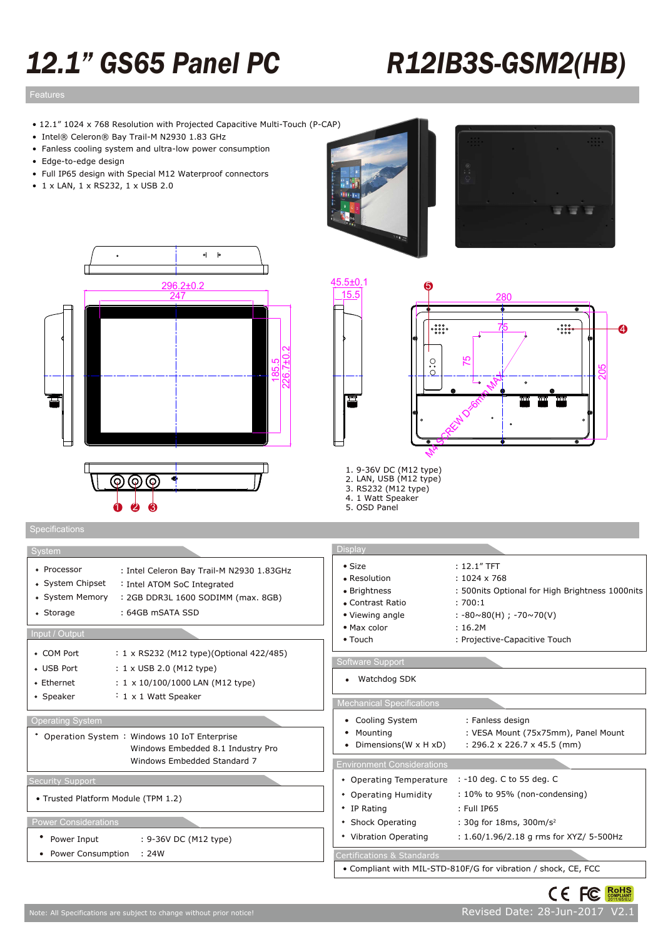# *12.1" GS65 Panel PC R12IB3S-GSM2(HB)*

## Features design Features design Features des Santanas de Santanas de Santanas de Santanas de Santanas de Santa<br>Estados de Santanas de Santanas de Santanas de Santanas de Santanas de Santanas de Santanas de Santanas de San

- 12.1" 1024 x 768 Resolution with Projected Capacitive Multi-Touch (P-CAP)
- Intel® Celeron® Bay Trail-M N2930 1.83 GHz
- Fanless cooling system and ultra-low power consumption
- Edge-to-edge design
- Full IP65 design with Special M12 Waterproof connectors
- 1 x LAN, 1 x RS232, 1 x USB 2.0









- 1. 9-36V DC (M12 type) 2. LAN, USB (M12 type)
- 3. RS232 (M12 type)
- 4. 1 Watt Speaker 5. OSD Panel

| System                                                                                                                                                                                                | <b>Display</b>                                                                                                |                                                                                                                                            |  |  |
|-------------------------------------------------------------------------------------------------------------------------------------------------------------------------------------------------------|---------------------------------------------------------------------------------------------------------------|--------------------------------------------------------------------------------------------------------------------------------------------|--|--|
| • Processor<br>: Intel Celeron Bay Trail-M N2930 1.83GHz<br>• System Chipset<br>: Intel ATOM SoC Integrated<br>• System Memory<br>: 2GB DDR3L 1600 SODIMM (max. 8GB)<br>: 64GB mSATA SSD<br>• Storage | $\bullet$ Size<br>• Resolution<br>• Brightness<br>• Contrast Ratio<br>• Viewing angle                         | $: 12.1"$ TFT<br>$: 1024 \times 768$<br>: 500nits Optional for High Brightness 1000nits<br>:700:1<br>$: -80 \sim 80(H)$ ; $-70 \sim 70(V)$ |  |  |
| Input / Output                                                                                                                                                                                        | • Max color<br>• Touch                                                                                        | : 16.2M<br>: Projective-Capacitive Touch                                                                                                   |  |  |
| • COM Port<br>: 1 x RS232 (M12 type)(Optional 422/485)<br>• USB Port<br>$: 1 \times$ USB 2.0 (M12 type)<br>: 1 x 10/100/1000 LAN (M12 type)<br>• Ethernet<br>$: 1 \times 1$ Watt Speaker<br>• Speaker | Software Support<br>Watchdog SDK<br>٠                                                                         |                                                                                                                                            |  |  |
|                                                                                                                                                                                                       | <b>Mechanical Specifications</b>                                                                              |                                                                                                                                            |  |  |
| <b>Operating System</b><br>* Operation System: Windows 10 IoT Enterprise<br>Windows Embedded 8.1 Industry Pro<br>Windows Embedded Standard 7                                                          | • Cooling System<br>• Mounting<br>• Dimensions (W $\times$ H $\times$ D)<br><b>Environment Considerations</b> | : Fanless design<br>: VESA Mount (75x75mm), Panel Mount<br>: 296.2 x 226.7 x 45.5 (mm)                                                     |  |  |
| <b>Security Support</b>                                                                                                                                                                               | • Operating Temperature                                                                                       | : -10 deg. C to 55 deg. C                                                                                                                  |  |  |
| • Trusted Platform Module (TPM 1.2)                                                                                                                                                                   | • Operating Humidity<br>• IP Rating                                                                           | $: 10\%$ to 95% (non-condensing)<br>: Full IP65                                                                                            |  |  |
| <b>Power Considerations</b>                                                                                                                                                                           | • Shock Operating                                                                                             | : 30q for 18ms, 300m/s <sup>2</sup>                                                                                                        |  |  |
| Power Input<br>: 9-36V DC (M12 type)                                                                                                                                                                  | • Vibration Operating                                                                                         | : 1.60/1.96/2.18 g rms for XYZ/ 5-500Hz                                                                                                    |  |  |
| • Power Consumption<br>: 24W                                                                                                                                                                          | Certifications & Standards                                                                                    |                                                                                                                                            |  |  |
|                                                                                                                                                                                                       |                                                                                                               | • Compliant with MIL-STD-810F/G for vibration / shock, CE, FCC                                                                             |  |  |